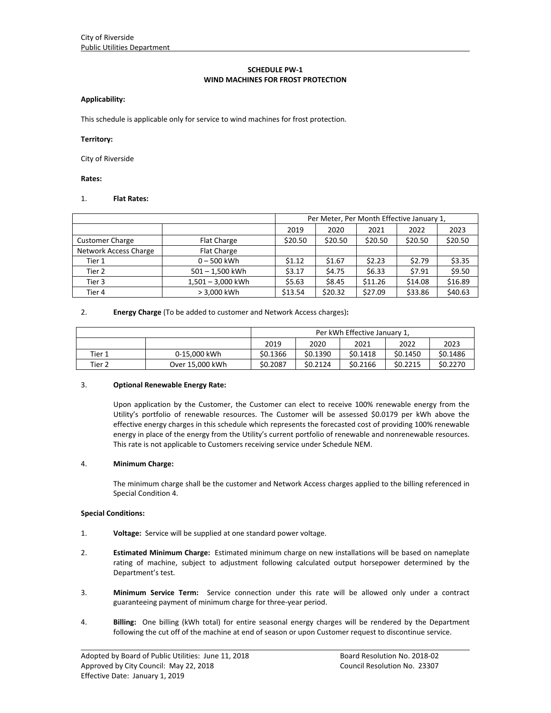## **SCHEDULE PW‐1 WIND MACHINES FOR FROST PROTECTION**

## **Applicability:**

This schedule is applicable only for service to wind machines for frost protection.

#### **Territory:**

City of Riverside

#### **Rates:**

### 1. **Flat Rates:**

|                        |                     |         | Per Meter, Per Month Effective January 1, |         |         |         |
|------------------------|---------------------|---------|-------------------------------------------|---------|---------|---------|
|                        |                     | 2019    | 2020                                      | 2021    | 2022    | 2023    |
| <b>Customer Charge</b> | <b>Flat Charge</b>  | \$20.50 | \$20.50                                   | \$20.50 | \$20.50 | \$20.50 |
| Network Access Charge  | <b>Flat Charge</b>  |         |                                           |         |         |         |
| Tier 1                 | $0 - 500$ kWh       | \$1.12  | \$1.67                                    | \$2.23  | \$2.79  | \$3.35  |
| Tier 2                 | $501 - 1,500$ kWh   | \$3.17  | \$4.75                                    | \$6.33  | \$7.91  | \$9.50  |
| Tier 3                 | $1,501 - 3,000$ kWh | \$5.63  | \$8.45                                    | \$11.26 | \$14.08 | \$16.89 |
| Tier 4                 | > 3.000 kWh         | \$13.54 | \$20.32                                   | \$27.09 | \$33.86 | \$40.63 |

### 2. **Energy Charge** (To be added to customer and Network Access charges)**:**

|        | Per kWh Effective January 1, |          |          |          |          |          |  |
|--------|------------------------------|----------|----------|----------|----------|----------|--|
|        |                              | 2019     | 2020     | 2021     | 2022     | 2023     |  |
| Tier 1 | 0-15.000 kWh                 | \$0.1366 | \$0.1390 | \$0.1418 | \$0.1450 | \$0.1486 |  |
| Tier 2 | Over 15,000 kWh              | \$0.2087 | \$0.2124 | \$0.2166 | \$0.2215 | \$0.2270 |  |

### 3. **Optional Renewable Energy Rate:**

Upon application by the Customer, the Customer can elect to receive 100% renewable energy from the Utility's portfolio of renewable resources. The Customer will be assessed \$0.0179 per kWh above the effective energy charges in this schedule which represents the forecasted cost of providing 100% renewable energy in place of the energy from the Utility's current portfolio of renewable and nonrenewable resources. This rate is not applicable to Customers receiving service under Schedule NEM.

## 4. **Minimum Charge:**

The minimum charge shall be the customer and Network Access charges applied to the billing referenced in Special Condition 4.

## **Special Conditions:**

- 1. **Voltage:** Service will be supplied at one standard power voltage.
- 2. **Estimated Minimum Charge:** Estimated minimum charge on new installations will be based on nameplate rating of machine, subject to adjustment following calculated output horsepower determined by the Department's test.
- 3. **Minimum Service Term:**  Service connection under this rate will be allowed only under a contract guaranteeing payment of minimum charge for three‐year period.
- 4. **Billing:** One billing (kWh total) for entire seasonal energy charges will be rendered by the Department following the cut off of the machine at end of season or upon Customer request to discontinue service.

<u> 1989 - Johann Stoff, amerikansk politiker (d. 1989)</u>